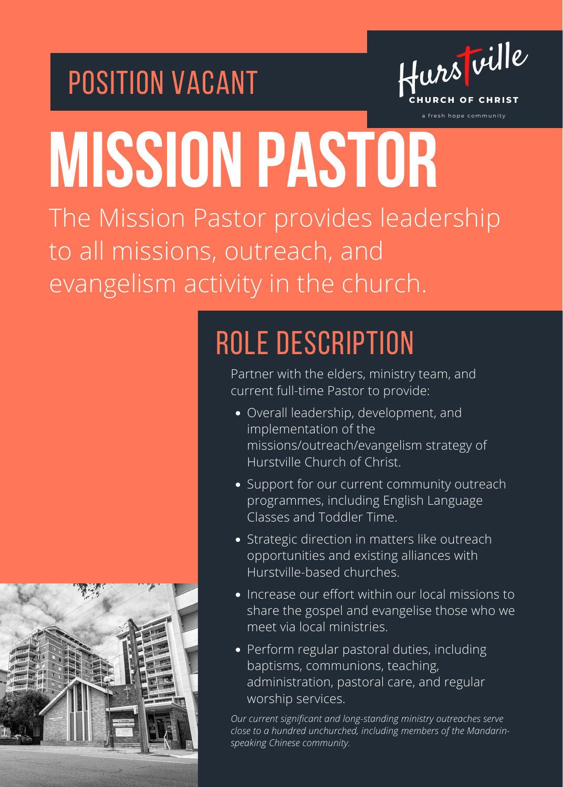



a fresh hope community

# **MISSION PASTOR**

The Mission Pastor provides leadership to all missions, outreach, and evangelism activity in the church.



## ROLE DESCRIPTION

Partner with the elders, ministry team, and current full-time Pastor to provide:

- Overall leadership, development, and implementation of the missions/outreach/evangelism strategy of Hurstville Church of Christ.
- Support for our current community outreach programmes, including English Language Classes and Toddler Time.
- Strategic direction in matters like outreach opportunities and existing alliances with Hurstville-based churches.
- Increase our effort within our local missions to share the gospel and evangelise those who we meet via local ministries.
- Perform regular pastoral duties, including baptisms, communions, teaching, administration, pastoral care, and regular worship services.

*Our current significant and long-standing ministry outreaches serve close to a hundred unchurched, including members of the Mandarinspeaking Chinese community.*